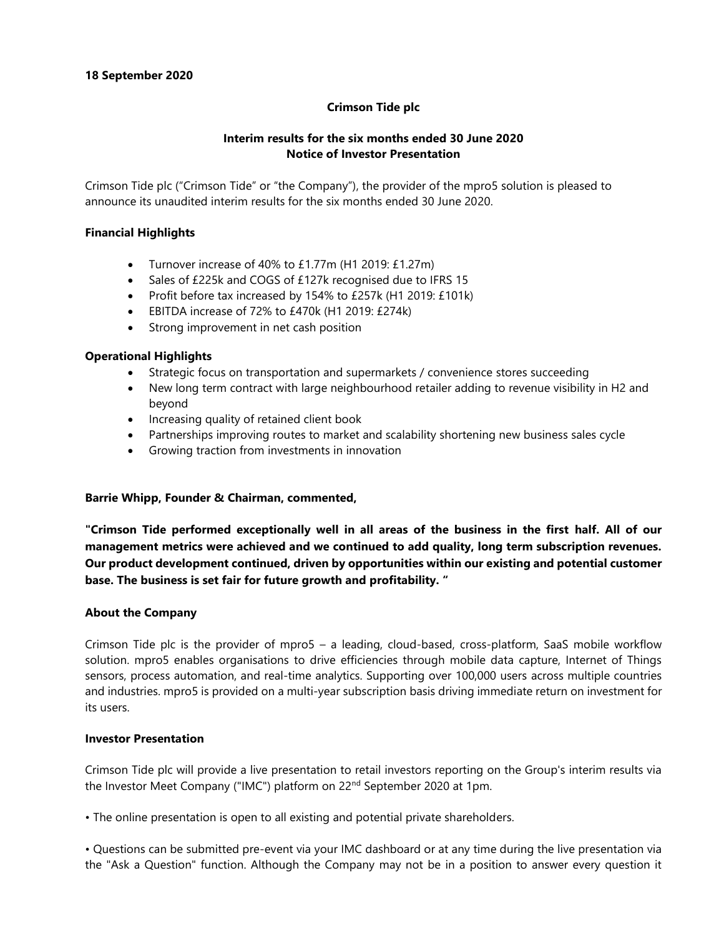### **Crimson Tide plc**

### **Interim results for the six months ended 30 June 2020 Notice of Investor Presentation**

Crimson Tide plc ("Crimson Tide" or "the Company"), the provider of the mpro5 solution is pleased to announce its unaudited interim results for the six months ended 30 June 2020.

### **Financial Highlights**

- Turnover increase of 40% to £1.77m (H1 2019: £1.27m)
- Sales of £225k and COGS of £127k recognised due to IFRS 15
- Profit before tax increased by 154% to £257k (H1 2019: £101k)
- EBITDA increase of 72% to £470k (H1 2019: £274k)
- Strong improvement in net cash position

### **Operational Highlights**

- Strategic focus on transportation and supermarkets / convenience stores succeeding
- New long term contract with large neighbourhood retailer adding to revenue visibility in H2 and beyond
- Increasing quality of retained client book
- Partnerships improving routes to market and scalability shortening new business sales cycle
- Growing traction from investments in innovation

#### **Barrie Whipp, Founder & Chairman, commented,**

**"Crimson Tide performed exceptionally well in all areas of the business in the first half. All of our management metrics were achieved and we continued to add quality, long term subscription revenues. Our product development continued, driven by opportunities within our existing and potential customer base. The business is set fair for future growth and profitability. "**

#### **About the Company**

Crimson Tide plc is the provider of mpro5 – a leading, cloud-based, cross-platform, SaaS mobile workflow solution. mpro5 enables organisations to drive efficiencies through mobile data capture, Internet of Things sensors, process automation, and real-time analytics. Supporting over 100,000 users across multiple countries and industries. mpro5 is provided on a multi-year subscription basis driving immediate return on investment for its users.

#### **Investor Presentation**

Crimson Tide plc will provide a live presentation to retail investors reporting on the Group's interim results via the Investor Meet Company ("IMC") platform on 22<sup>nd</sup> September 2020 at 1pm.

• The online presentation is open to all existing and potential private shareholders.

• Questions can be submitted pre-event via your IMC dashboard or at any time during the live presentation via the "Ask a Question" function. Although the Company may not be in a position to answer every question it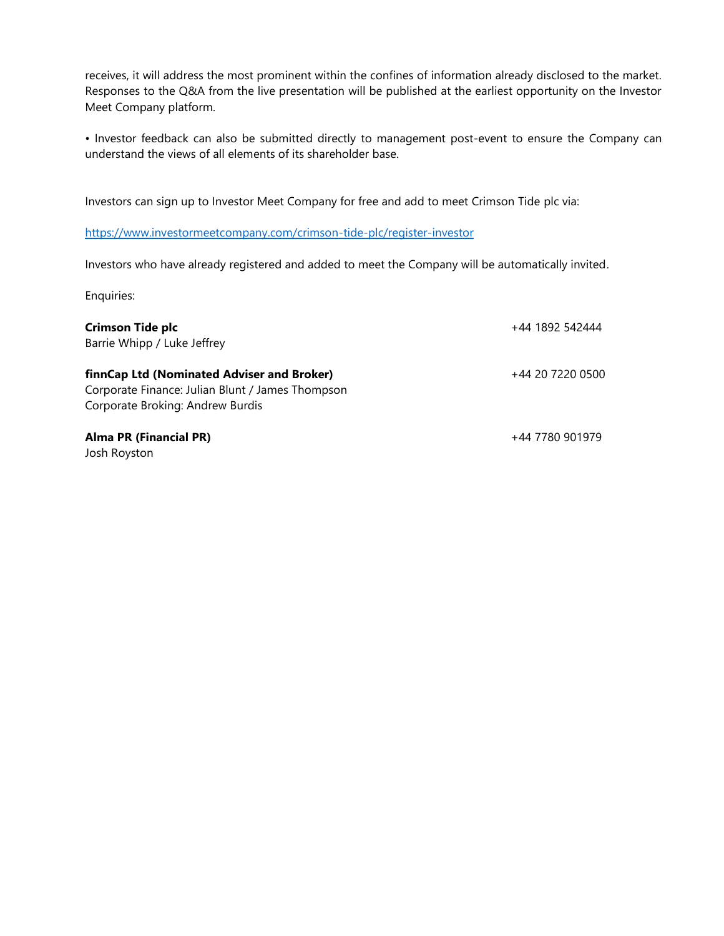receives, it will address the most prominent within the confines of information already disclosed to the market. Responses to the Q&A from the live presentation will be published at the earliest opportunity on the Investor Meet Company platform.

• Investor feedback can also be submitted directly to management post-event to ensure the Company can understand the views of all elements of its shareholder base.

Investors can sign up to Investor Meet Company for free and add to meet Crimson Tide plc via:

<https://www.investormeetcompany.com/crimson-tide-plc/register-investor>

Investors who have already registered and added to meet the Company will be automatically invited.

Enquiries:

| <b>Crimson Tide plc</b><br>Barrie Whipp / Luke Jeffrey                                                                             | +44 1892 542444  |
|------------------------------------------------------------------------------------------------------------------------------------|------------------|
| finnCap Ltd (Nominated Adviser and Broker)<br>Corporate Finance: Julian Blunt / James Thompson<br>Corporate Broking: Andrew Burdis | +44 20 7220 0500 |
| <b>Alma PR (Financial PR)</b><br>Josh Royston                                                                                      | +44 7780 901979  |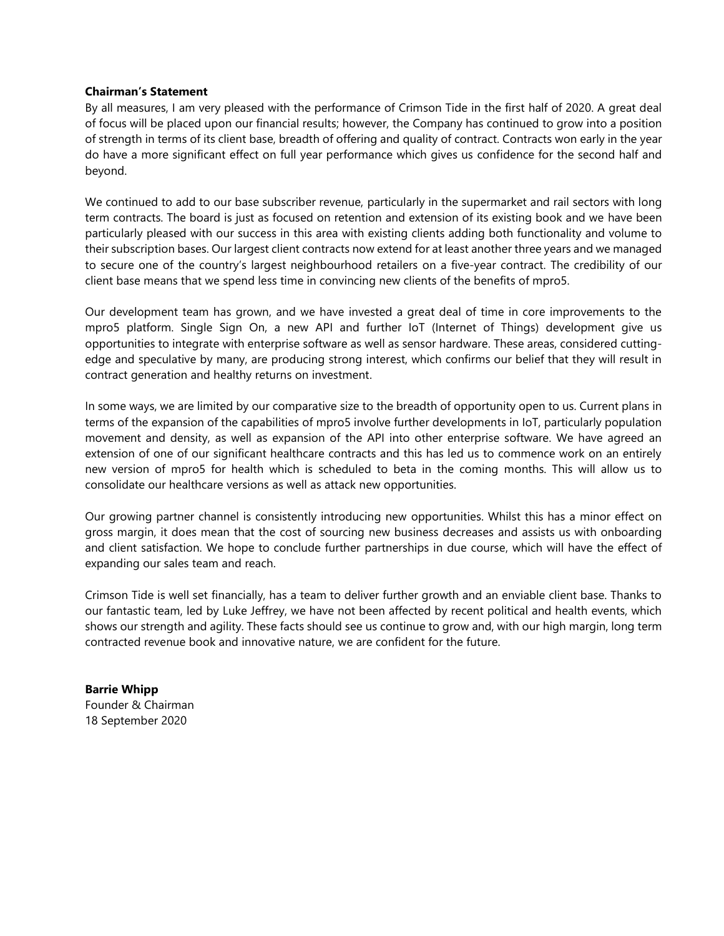### **Chairman's Statement**

By all measures, I am very pleased with the performance of Crimson Tide in the first half of 2020. A great deal of focus will be placed upon our financial results; however, the Company has continued to grow into a position of strength in terms of its client base, breadth of offering and quality of contract. Contracts won early in the year do have a more significant effect on full year performance which gives us confidence for the second half and beyond.

We continued to add to our base subscriber revenue, particularly in the supermarket and rail sectors with long term contracts. The board is just as focused on retention and extension of its existing book and we have been particularly pleased with our success in this area with existing clients adding both functionality and volume to their subscription bases. Our largest client contracts now extend for at least another three years and we managed to secure one of the country's largest neighbourhood retailers on a five-year contract. The credibility of our client base means that we spend less time in convincing new clients of the benefits of mpro5.

Our development team has grown, and we have invested a great deal of time in core improvements to the mpro5 platform. Single Sign On, a new API and further IoT (Internet of Things) development give us opportunities to integrate with enterprise software as well as sensor hardware. These areas, considered cuttingedge and speculative by many, are producing strong interest, which confirms our belief that they will result in contract generation and healthy returns on investment.

In some ways, we are limited by our comparative size to the breadth of opportunity open to us. Current plans in terms of the expansion of the capabilities of mpro5 involve further developments in IoT, particularly population movement and density, as well as expansion of the API into other enterprise software. We have agreed an extension of one of our significant healthcare contracts and this has led us to commence work on an entirely new version of mpro5 for health which is scheduled to beta in the coming months. This will allow us to consolidate our healthcare versions as well as attack new opportunities.

Our growing partner channel is consistently introducing new opportunities. Whilst this has a minor effect on gross margin, it does mean that the cost of sourcing new business decreases and assists us with onboarding and client satisfaction. We hope to conclude further partnerships in due course, which will have the effect of expanding our sales team and reach.

Crimson Tide is well set financially, has a team to deliver further growth and an enviable client base. Thanks to our fantastic team, led by Luke Jeffrey, we have not been affected by recent political and health events, which shows our strength and agility. These facts should see us continue to grow and, with our high margin, long term contracted revenue book and innovative nature, we are confident for the future.

**Barrie Whipp** Founder & Chairman 18 September 2020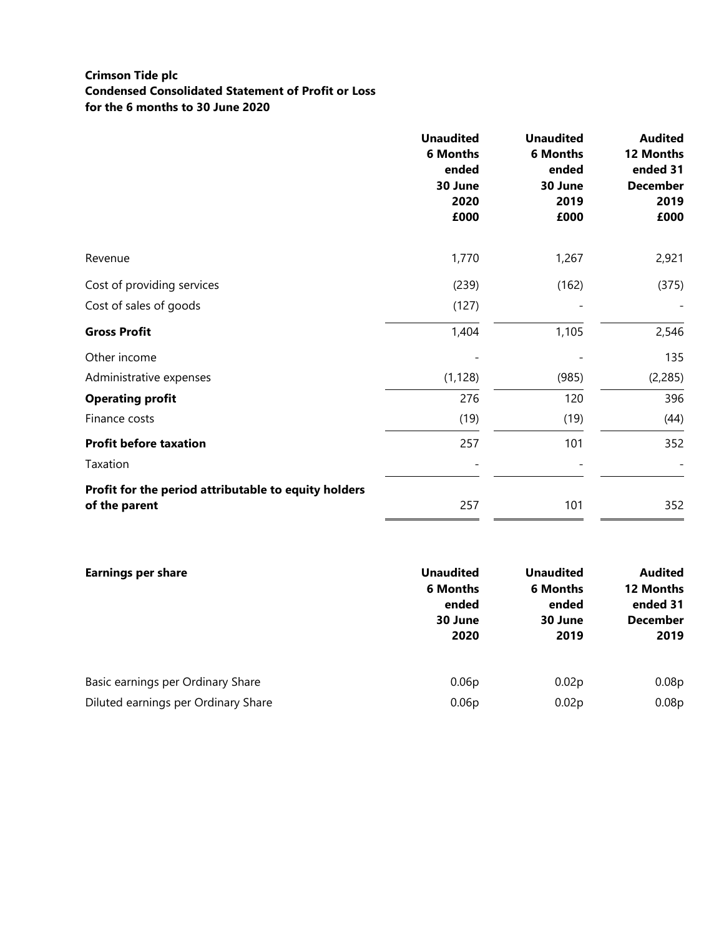### **Crimson Tide plc Condensed Consolidated Statement of Profit or Loss for the 6 months to 30 June 2020**

|                                                                       | <b>Unaudited</b><br><b>6 Months</b><br>ended<br>30 June<br>2020<br>£000 | <b>Unaudited</b><br><b>6 Months</b><br>ended<br>30 June<br>2019<br>£000 | <b>Audited</b><br>12 Months<br>ended 31<br><b>December</b><br>2019<br>£000 |
|-----------------------------------------------------------------------|-------------------------------------------------------------------------|-------------------------------------------------------------------------|----------------------------------------------------------------------------|
| Revenue                                                               | 1,770                                                                   | 1,267                                                                   | 2,921                                                                      |
| Cost of providing services                                            | (239)                                                                   | (162)                                                                   | (375)                                                                      |
| Cost of sales of goods                                                | (127)                                                                   |                                                                         |                                                                            |
| <b>Gross Profit</b>                                                   | 1,404                                                                   | 1,105                                                                   | 2,546                                                                      |
| Other income                                                          |                                                                         |                                                                         | 135                                                                        |
| Administrative expenses                                               | (1, 128)                                                                | (985)                                                                   | (2, 285)                                                                   |
| <b>Operating profit</b>                                               | 276                                                                     | 120                                                                     | 396                                                                        |
| Finance costs                                                         | (19)                                                                    | (19)                                                                    | (44)                                                                       |
| <b>Profit before taxation</b>                                         | 257                                                                     | 101                                                                     | 352                                                                        |
| Taxation                                                              |                                                                         |                                                                         |                                                                            |
| Profit for the period attributable to equity holders<br>of the parent | 257                                                                     | 101                                                                     | 352                                                                        |

| <b>Earnings per share</b>           | <b>Unaudited</b><br><b>6 Months</b><br>ended<br>30 June<br>2020 | <b>Unaudited</b><br><b>6 Months</b><br>ended<br>30 June<br>2019 | <b>Audited</b><br>12 Months<br>ended 31<br><b>December</b><br>2019 |
|-------------------------------------|-----------------------------------------------------------------|-----------------------------------------------------------------|--------------------------------------------------------------------|
| Basic earnings per Ordinary Share   | 0.06 <sub>p</sub>                                               | 0.02 <sub>p</sub>                                               | 0.08p                                                              |
| Diluted earnings per Ordinary Share | 0.06 <sub>p</sub>                                               | 0.02 <sub>p</sub>                                               | 0.08p                                                              |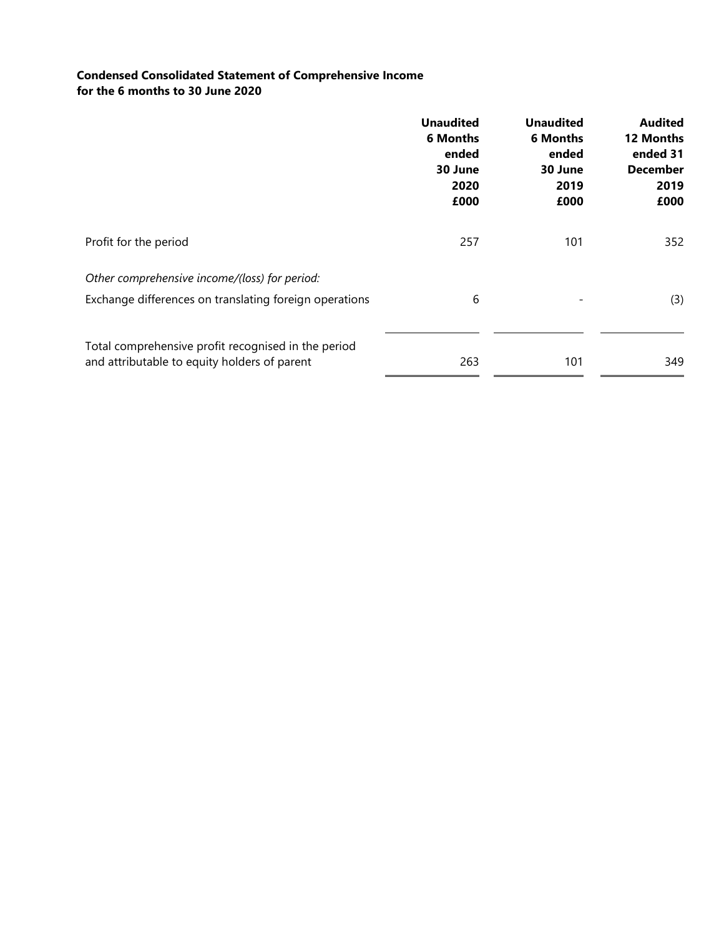## **Condensed Consolidated Statement of Comprehensive Income for the 6 months to 30 June 2020**

|                                                        | <b>Unaudited</b><br><b>6 Months</b><br>ended<br>30 June<br>2020<br>£000 | <b>Unaudited</b><br><b>6 Months</b><br>ended<br>30 June<br>2019<br>£000 | <b>Audited</b><br>12 Months<br>ended 31<br><b>December</b><br>2019<br>£000 |
|--------------------------------------------------------|-------------------------------------------------------------------------|-------------------------------------------------------------------------|----------------------------------------------------------------------------|
| Profit for the period                                  | 257                                                                     | 101                                                                     | 352                                                                        |
| Other comprehensive income/(loss) for period:          |                                                                         |                                                                         |                                                                            |
| Exchange differences on translating foreign operations | 6                                                                       |                                                                         | (3)                                                                        |
| Total comprehensive profit recognised in the period    |                                                                         |                                                                         |                                                                            |
| and attributable to equity holders of parent           | 263                                                                     | 101                                                                     | 349                                                                        |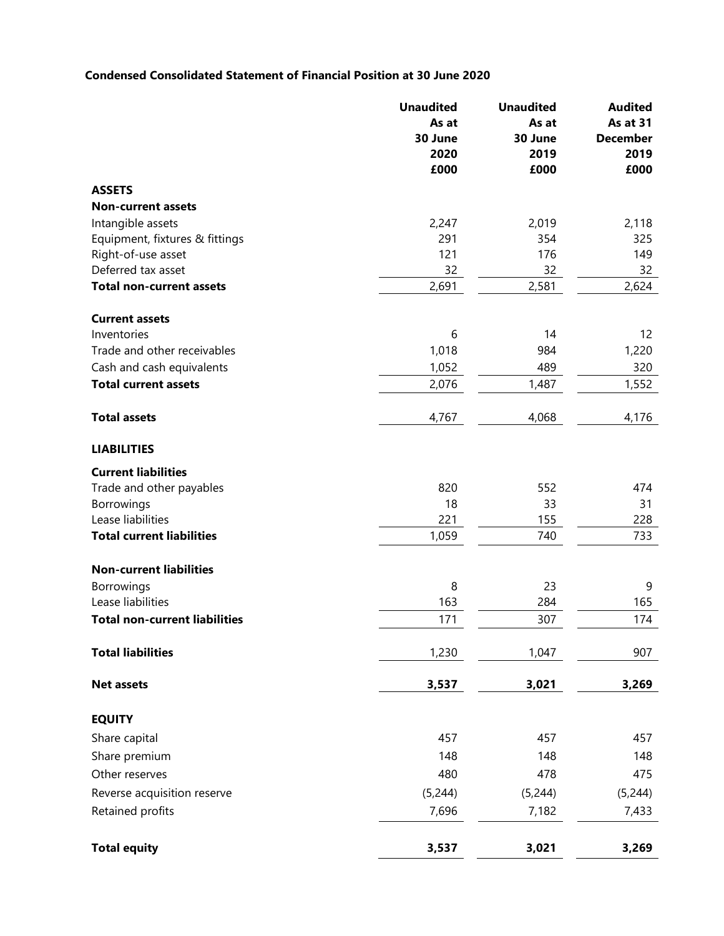# **Condensed Consolidated Statement of Financial Position at 30 June 2020**

|                                      | <b>Unaudited</b> | <b>Unaudited</b> | <b>Audited</b>  |  |
|--------------------------------------|------------------|------------------|-----------------|--|
|                                      | As at            | As at            | <b>As at 31</b> |  |
|                                      | 30 June          | 30 June          | <b>December</b> |  |
|                                      | 2020             | 2019             | 2019            |  |
|                                      | £000             | £000             | £000            |  |
| <b>ASSETS</b>                        |                  |                  |                 |  |
| <b>Non-current assets</b>            |                  |                  |                 |  |
| Intangible assets                    | 2,247            | 2,019            | 2,118           |  |
| Equipment, fixtures & fittings       | 291              | 354              | 325             |  |
| Right-of-use asset                   | 121              | 176              | 149             |  |
| Deferred tax asset                   | 32               | 32               | 32              |  |
| <b>Total non-current assets</b>      | 2,691            | 2,581            | 2,624           |  |
| <b>Current assets</b>                |                  |                  |                 |  |
| Inventories                          | 6                | 14               | 12              |  |
| Trade and other receivables          | 1,018            | 984              | 1,220           |  |
| Cash and cash equivalents            | 1,052            | 489              | 320             |  |
| <b>Total current assets</b>          | 2,076            | 1,487            | 1,552           |  |
| <b>Total assets</b>                  | 4,767            | 4,068            | 4,176           |  |
| <b>LIABILITIES</b>                   |                  |                  |                 |  |
| <b>Current liabilities</b>           |                  |                  |                 |  |
| Trade and other payables             | 820              | 552              | 474             |  |
| Borrowings                           | 18               | 33               | 31              |  |
| Lease liabilities                    | 221              | 155              | 228             |  |
| <b>Total current liabilities</b>     | 1,059            | 740              | 733             |  |
| <b>Non-current liabilities</b>       |                  |                  |                 |  |
| Borrowings                           | 8                | 23               | 9               |  |
| Lease liabilities                    | 163              | 284              | 165             |  |
| <b>Total non-current liabilities</b> | 171              | 307              | 174             |  |
| <b>Total liabilities</b>             | 1,230            | 1,047            | 907             |  |
| <b>Net assets</b>                    | 3,537            | 3,021            | 3,269           |  |
|                                      |                  |                  |                 |  |
| <b>EQUITY</b>                        |                  |                  |                 |  |
| Share capital                        | 457              | 457              | 457             |  |
| Share premium                        | 148              | 148              | 148             |  |
| Other reserves                       | 480              | 478              | 475             |  |
| Reverse acquisition reserve          | (5,244)          | (5, 244)         | (5, 244)        |  |
| Retained profits                     | 7,696            | 7,182            | 7,433           |  |
| <b>Total equity</b>                  | 3,537            | 3,021            | 3,269           |  |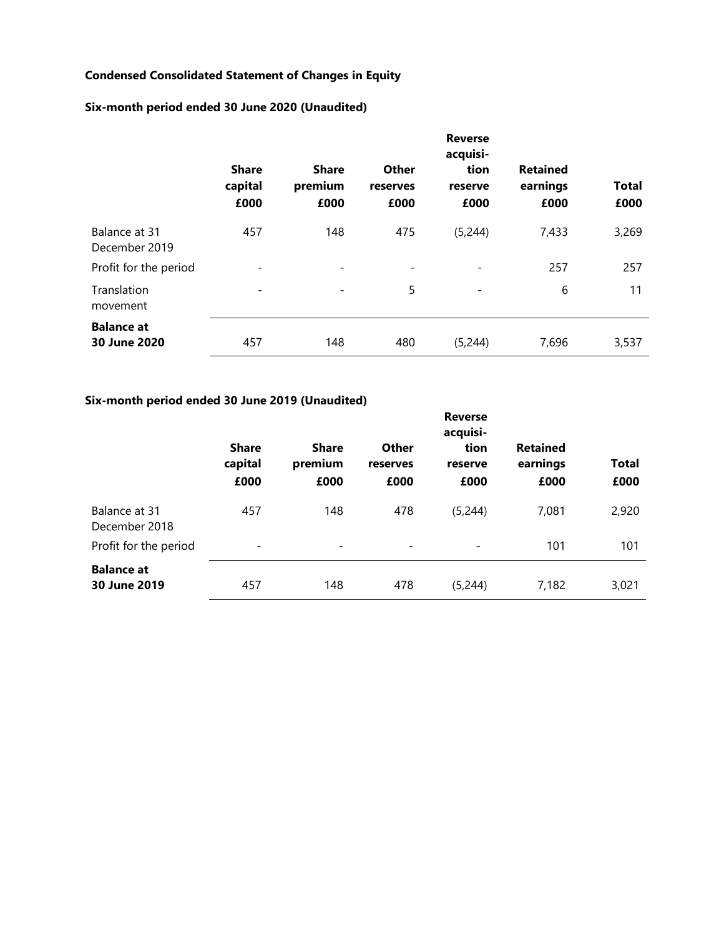# **Condensed Consolidated Statement of Changes in Equity**

# **Six-month period ended 30 June 2020 (Unaudited)**

|                                   | <b>Reverse</b><br>acquisi-      |                                 |                                  |                          |                                     |                      |
|-----------------------------------|---------------------------------|---------------------------------|----------------------------------|--------------------------|-------------------------------------|----------------------|
|                                   | <b>Share</b><br>capital<br>£000 | <b>Share</b><br>premium<br>£000 | <b>Other</b><br>reserves<br>£000 | tion<br>reserve<br>£000  | <b>Retained</b><br>earnings<br>£000 | <b>Total</b><br>£000 |
| Balance at 31<br>December 2019    | 457                             | 148                             | 475                              | (5,244)                  | 7,433                               | 3,269                |
| Profit for the period             |                                 |                                 | $\overline{\phantom{a}}$         |                          | 257                                 | 257                  |
| Translation<br>movement           | $\overline{\phantom{a}}$        |                                 | 5                                | $\overline{\phantom{a}}$ | 6                                   | 11                   |
| <b>Balance at</b><br>30 June 2020 | 457                             | 148                             | 480                              | (5,244)                  | 7,696                               | 3,537                |

## **Six-month period ended 30 June 2019 (Unaudited)**

|                                   | <b>Share</b><br>capital<br>£000 | <b>Share</b><br>premium<br>£000 | Other<br>reserves<br>£000    | <b>Reverse</b><br>acquisi-<br>tion<br>reserve<br>£000 | <b>Retained</b><br>earnings<br>£000 | <b>Total</b><br>£000 |
|-----------------------------------|---------------------------------|---------------------------------|------------------------------|-------------------------------------------------------|-------------------------------------|----------------------|
| Balance at 31<br>December 2018    | 457                             | 148                             | 478                          | (5,244)                                               | 7,081                               | 2,920                |
| Profit for the period             | $\overline{\phantom{a}}$        | $\overline{\phantom{0}}$        | $\qquad \qquad \blacksquare$ | $\overline{\phantom{a}}$                              | 101                                 | 101                  |
| <b>Balance at</b><br>30 June 2019 | 457                             | 148                             | 478                          | (5,244)                                               | 7,182                               | 3,021                |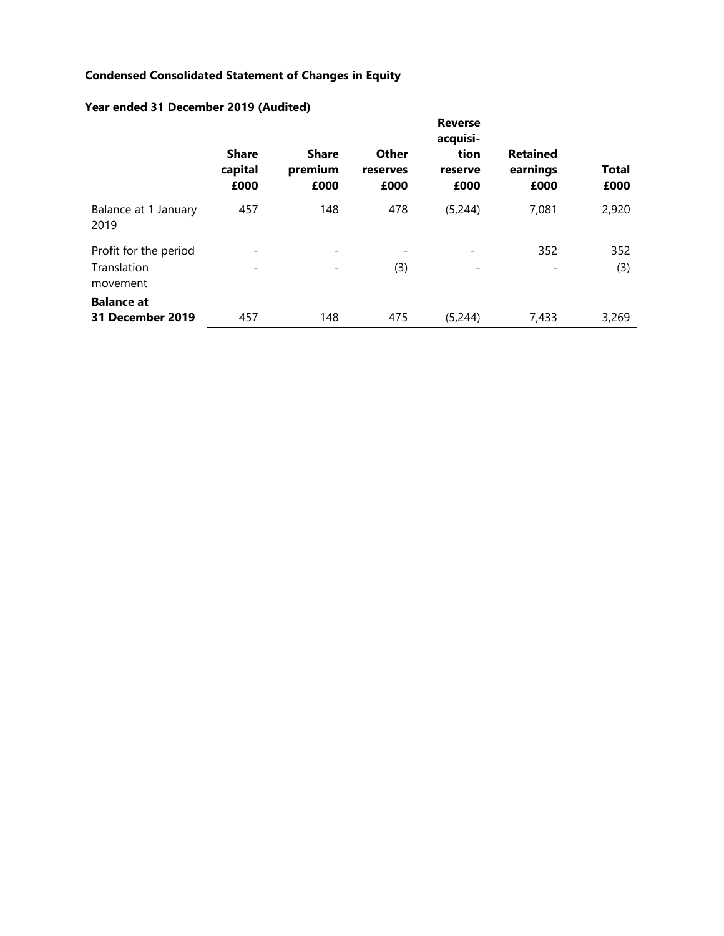# **Condensed Consolidated Statement of Changes in Equity**

|                                                  | <b>Share</b><br>capital<br>£000 | <b>Share</b><br>premium<br>£000 | <b>Other</b><br>reserves<br>£000 | <b>Reverse</b><br>acquisi-<br>tion<br>reserve<br>£000 | <b>Retained</b><br>earnings<br>£000 | <b>Total</b><br>£000 |
|--------------------------------------------------|---------------------------------|---------------------------------|----------------------------------|-------------------------------------------------------|-------------------------------------|----------------------|
| Balance at 1 January<br>2019                     | 457                             | 148                             | 478                              | (5, 244)                                              | 7,081                               | 2,920                |
| Profit for the period<br>Translation<br>movement |                                 |                                 | $\overline{\phantom{a}}$<br>(3)  |                                                       | 352                                 | 352<br>(3)           |
| <b>Balance at</b><br>31 December 2019            | 457                             | 148                             | 475                              | (5, 244)                                              | 7,433                               | 3,269                |

# **Year ended 31 December 2019 (Audited)**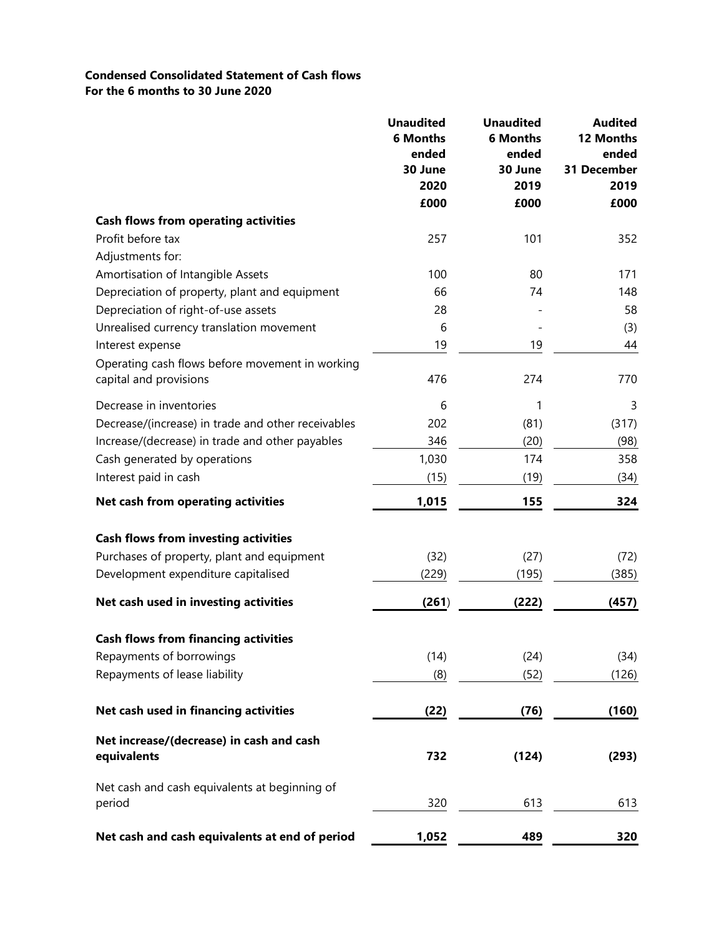## **Condensed Consolidated Statement of Cash flows For the 6 months to 30 June 2020**

|                                                                           | <b>Unaudited</b><br><b>6 Months</b><br>ended<br>30 June<br>2020<br>£000 | <b>Unaudited</b><br><b>6 Months</b><br>ended<br>30 June<br>2019<br>£000 | <b>Audited</b><br>12 Months<br>ended<br>31 December<br>2019<br>£000 |
|---------------------------------------------------------------------------|-------------------------------------------------------------------------|-------------------------------------------------------------------------|---------------------------------------------------------------------|
| <b>Cash flows from operating activities</b>                               |                                                                         |                                                                         |                                                                     |
| Profit before tax                                                         | 257                                                                     | 101                                                                     | 352                                                                 |
| Adjustments for:                                                          |                                                                         |                                                                         |                                                                     |
| Amortisation of Intangible Assets                                         | 100                                                                     | 80                                                                      | 171                                                                 |
| Depreciation of property, plant and equipment                             | 66                                                                      | 74                                                                      | 148                                                                 |
| Depreciation of right-of-use assets                                       | 28                                                                      |                                                                         | 58                                                                  |
| Unrealised currency translation movement                                  | 6                                                                       |                                                                         | (3)                                                                 |
| Interest expense                                                          | 19                                                                      | 19                                                                      | 44                                                                  |
| Operating cash flows before movement in working<br>capital and provisions | 476                                                                     | 274                                                                     | 770                                                                 |
| Decrease in inventories                                                   | 6                                                                       | 1                                                                       | 3                                                                   |
| Decrease/(increase) in trade and other receivables                        | 202                                                                     | (81)                                                                    | (317)                                                               |
| Increase/(decrease) in trade and other payables                           | 346                                                                     | (20)                                                                    | (98)                                                                |
| Cash generated by operations                                              | 1,030                                                                   | 174                                                                     | 358                                                                 |
| Interest paid in cash                                                     | (15)                                                                    | (19)                                                                    | (34)                                                                |
| Net cash from operating activities                                        | 1,015                                                                   | 155                                                                     | 324                                                                 |
|                                                                           |                                                                         |                                                                         |                                                                     |
| <b>Cash flows from investing activities</b>                               |                                                                         |                                                                         |                                                                     |
| Purchases of property, plant and equipment                                | (32)                                                                    | (27)                                                                    | (72)                                                                |
| Development expenditure capitalised                                       | (229)                                                                   | (195)                                                                   | (385)                                                               |
| Net cash used in investing activities                                     | (261)                                                                   | (222)                                                                   | (457)                                                               |
| <b>Cash flows from financing activities</b>                               |                                                                         |                                                                         |                                                                     |
| Repayments of borrowings                                                  | (14)                                                                    | (24)                                                                    | (34)                                                                |
| Repayments of lease liability                                             | (8)                                                                     | (52)                                                                    | (126)                                                               |
| Net cash used in financing activities                                     | (22)                                                                    | (76)                                                                    | (160)                                                               |
| Net increase/(decrease) in cash and cash<br>equivalents                   | 732                                                                     | (124)                                                                   | (293)                                                               |
| Net cash and cash equivalents at beginning of<br>period                   | 320                                                                     | 613                                                                     | 613                                                                 |
| Net cash and cash equivalents at end of period                            | <u>1,052</u>                                                            | 489                                                                     | 320                                                                 |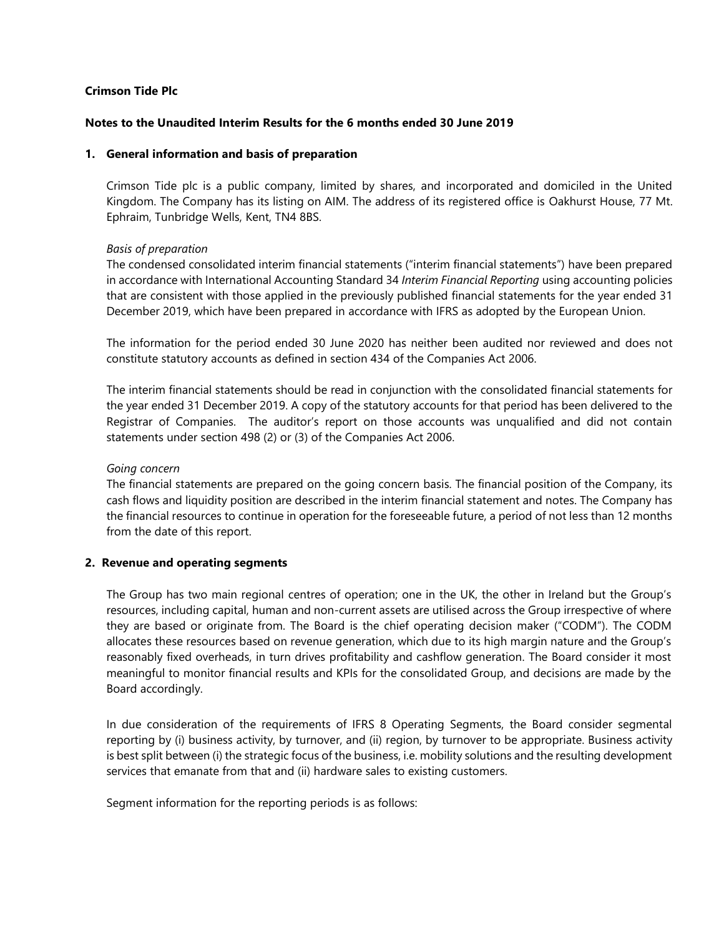### **Crimson Tide Plc**

### **Notes to the Unaudited Interim Results for the 6 months ended 30 June 2019**

### **1. General information and basis of preparation**

Crimson Tide plc is a public company, limited by shares, and incorporated and domiciled in the United Kingdom. The Company has its listing on AIM. The address of its registered office is Oakhurst House, 77 Mt. Ephraim, Tunbridge Wells, Kent, TN4 8BS.

### *Basis of preparation*

The condensed consolidated interim financial statements ("interim financial statements") have been prepared in accordance with International Accounting Standard 34 *Interim Financial Reporting* using accounting policies that are consistent with those applied in the previously published financial statements for the year ended 31 December 2019, which have been prepared in accordance with IFRS as adopted by the European Union.

The information for the period ended 30 June 2020 has neither been audited nor reviewed and does not constitute statutory accounts as defined in section 434 of the Companies Act 2006.

The interim financial statements should be read in conjunction with the consolidated financial statements for the year ended 31 December 2019. A copy of the statutory accounts for that period has been delivered to the Registrar of Companies. The auditor's report on those accounts was unqualified and did not contain statements under section 498 (2) or (3) of the Companies Act 2006.

### *Going concern*

The financial statements are prepared on the going concern basis. The financial position of the Company, its cash flows and liquidity position are described in the interim financial statement and notes. The Company has the financial resources to continue in operation for the foreseeable future, a period of not less than 12 months from the date of this report.

#### **2. Revenue and operating segments**

The Group has two main regional centres of operation; one in the UK, the other in Ireland but the Group's resources, including capital, human and non-current assets are utilised across the Group irrespective of where they are based or originate from. The Board is the chief operating decision maker ("CODM"). The CODM allocates these resources based on revenue generation, which due to its high margin nature and the Group's reasonably fixed overheads, in turn drives profitability and cashflow generation. The Board consider it most meaningful to monitor financial results and KPIs for the consolidated Group, and decisions are made by the Board accordingly.

In due consideration of the requirements of IFRS 8 Operating Segments, the Board consider segmental reporting by (i) business activity, by turnover, and (ii) region, by turnover to be appropriate. Business activity is best split between (i) the strategic focus of the business, i.e. mobility solutions and the resulting development services that emanate from that and (ii) hardware sales to existing customers.

Segment information for the reporting periods is as follows: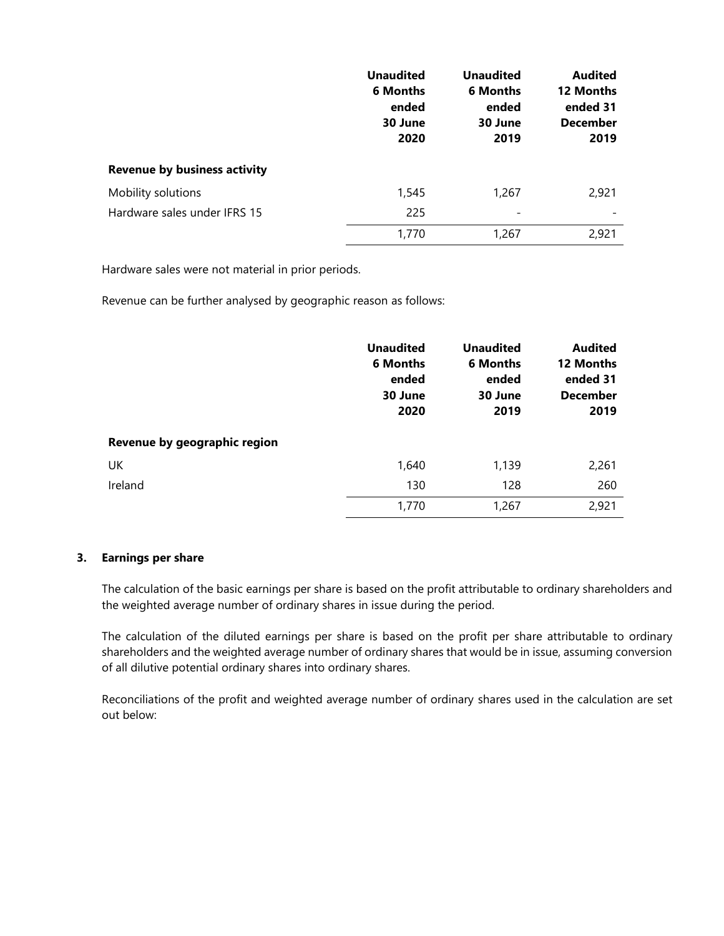|                                     | <b>Unaudited</b><br><b>6 Months</b><br>ended<br>30 June<br>2020 | <b>Unaudited</b><br><b>6 Months</b><br>ended<br>30 June<br>2019 | <b>Audited</b><br>12 Months<br>ended 31<br><b>December</b><br>2019 |
|-------------------------------------|-----------------------------------------------------------------|-----------------------------------------------------------------|--------------------------------------------------------------------|
| <b>Revenue by business activity</b> |                                                                 |                                                                 |                                                                    |
| Mobility solutions                  | 1,545                                                           | 1,267                                                           | 2,921                                                              |
| Hardware sales under IFRS 15        | 225                                                             |                                                                 |                                                                    |
|                                     | 1,770                                                           | 1,267                                                           | 2,921                                                              |

Hardware sales were not material in prior periods.

Revenue can be further analysed by geographic reason as follows:

|                              | <b>Unaudited</b><br><b>6 Months</b><br>ended<br>30 June<br>2020 | <b>Unaudited</b><br><b>6 Months</b><br>ended<br>30 June<br>2019 | <b>Audited</b><br>12 Months<br>ended 31<br><b>December</b><br>2019 |
|------------------------------|-----------------------------------------------------------------|-----------------------------------------------------------------|--------------------------------------------------------------------|
| Revenue by geographic region |                                                                 |                                                                 |                                                                    |
| UK                           | 1,640                                                           | 1,139                                                           | 2,261                                                              |
| Ireland                      | 130                                                             | 128                                                             | 260                                                                |
|                              | 1,770                                                           | 1,267                                                           | 2,921                                                              |

### **3. Earnings per share**

The calculation of the basic earnings per share is based on the profit attributable to ordinary shareholders and the weighted average number of ordinary shares in issue during the period.

The calculation of the diluted earnings per share is based on the profit per share attributable to ordinary shareholders and the weighted average number of ordinary shares that would be in issue, assuming conversion of all dilutive potential ordinary shares into ordinary shares.

Reconciliations of the profit and weighted average number of ordinary shares used in the calculation are set out below: